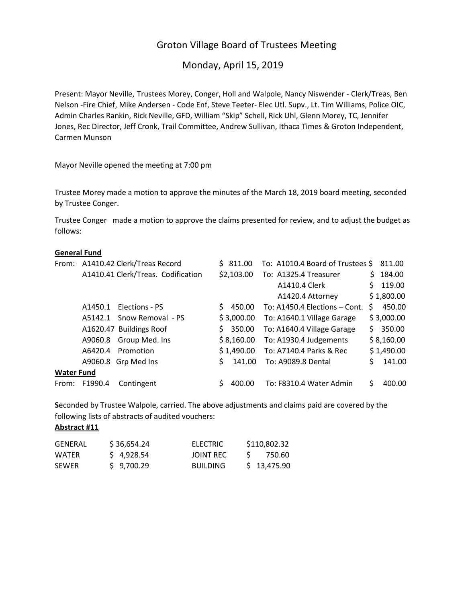# Groton Village Board of Trustees Meeting

# Monday, April 15, 2019

Present: Mayor Neville, Trustees Morey, Conger, Holl and Walpole, Nancy Niswender - Clerk/Treas, Ben Nelson -Fire Chief, Mike Andersen - Code Enf, Steve Teeter- Elec Utl. Supv., Lt. Tim Williams, Police OIC, Admin Charles Rankin, Rick Neville, GFD, William "Skip" Schell, Rick Uhl, Glenn Morey, TC, Jennifer Jones, Rec Director, Jeff Cronk, Trail Committee, Andrew Sullivan, Ithaca Times & Groton Independent, Carmen Munson

Mayor Neville opened the meeting at 7:00 pm

Trustee Morey made a motion to approve the minutes of the March 18, 2019 board meeting, seconded by Trustee Conger.

Trustee Conger made a motion to approve the claims presented for review, and to adjust the budget as follows:

#### **General Fund**

|                   |               | From: A1410.42 Clerk/Treas Record  |    | \$311.00   | To: A1010.4 Board of Trustees \$ |    | 811.00     |
|-------------------|---------------|------------------------------------|----|------------|----------------------------------|----|------------|
|                   |               | A1410.41 Clerk/Treas. Codification |    | \$2,103.00 | To: A1325.4 Treasurer            | S. | 184.00     |
|                   |               |                                    |    |            | A1410.4 Clerk                    |    | 119.00     |
|                   |               |                                    |    |            | A1420.4 Attorney                 |    | \$1,800.00 |
|                   | A1450.1       | Elections - PS                     | Ŝ. | 450.00     | To: A1450.4 Elections - Cont.    | S. | 450.00     |
|                   | A5142.1       | Snow Removal - PS                  |    | \$3,000.00 | To: A1640.1 Village Garage       |    | \$3,000.00 |
|                   |               | A1620.47 Buildings Roof            | Ś. | 350.00     | To: A1640.4 Village Garage       | S. | 350.00     |
|                   | A9060.8       | Group Med. Ins                     |    | \$8,160.00 | To: A1930.4 Judgements           |    | \$8,160.00 |
|                   | A6420.4       | Promotion                          |    | \$1,490.00 | To: A7140.4 Parks & Rec          |    | \$1,490.00 |
|                   | A9060.8       | Grp Med Ins                        | Ś  | 141.00     | To: A9089.8 Dental               |    | 141.00     |
| <b>Water Fund</b> |               |                                    |    |            |                                  |    |            |
|                   | From: F1990.4 | Contingent                         |    | 400.00     | To: F8310.4 Water Admin          |    | 400.00     |

**S**econded by Trustee Walpole, carried. The above adjustments and claims paid are covered by the following lists of abstracts of audited vouchers:

### **Abstract #11**

| GENERAL      | \$36,654.24 | ELECTRIC        | \$110,802.32 |
|--------------|-------------|-----------------|--------------|
| WATFR        | \$4,928.54  | JOINT REC       | 750.60       |
| <b>SEWER</b> | \$9,700.29  | <b>BUILDING</b> | \$13,475.90  |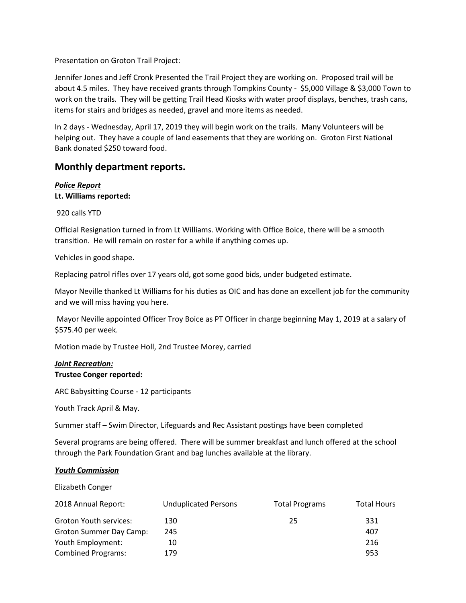Presentation on Groton Trail Project:

Jennifer Jones and Jeff Cronk Presented the Trail Project they are working on. Proposed trail will be about 4.5 miles. They have received grants through Tompkins County - \$5,000 Village & \$3,000 Town to work on the trails. They will be getting Trail Head Kiosks with water proof displays, benches, trash cans, items for stairs and bridges as needed, gravel and more items as needed.

In 2 days - Wednesday, April 17, 2019 they will begin work on the trails. Many Volunteers will be helping out. They have a couple of land easements that they are working on. Groton First National Bank donated \$250 toward food.

# **Monthly department reports.**

# *Police Report*

# **Lt. Williams reported:**

920 calls YTD

Official Resignation turned in from Lt Williams. Working with Office Boice, there will be a smooth transition. He will remain on roster for a while if anything comes up.

Vehicles in good shape.

Replacing patrol rifles over 17 years old, got some good bids, under budgeted estimate.

Mayor Neville thanked Lt Williams for his duties as OIC and has done an excellent job for the community and we will miss having you here.

Mayor Neville appointed Officer Troy Boice as PT Officer in charge beginning May 1, 2019 at a salary of \$575.40 per week.

Motion made by Trustee Holl, 2nd Trustee Morey, carried

## *Joint Recreation:* **Trustee Conger reported:**

ARC Babysitting Course - 12 participants

Youth Track April & May.

Summer staff – Swim Director, Lifeguards and Rec Assistant postings have been completed

Several programs are being offered. There will be summer breakfast and lunch offered at the school through the Park Foundation Grant and bag lunches available at the library.

### *Youth Commission*

Elizabeth Conger

| 2018 Annual Report:       | <b>Unduplicated Persons</b> | <b>Total Programs</b> | <b>Total Hours</b> |
|---------------------------|-----------------------------|-----------------------|--------------------|
| Groton Youth services:    | 130                         | 25                    | 331                |
| Groton Summer Day Camp:   | 245                         |                       | 407                |
| Youth Employment:         | 10                          |                       | 216                |
| <b>Combined Programs:</b> | 179                         |                       | 953                |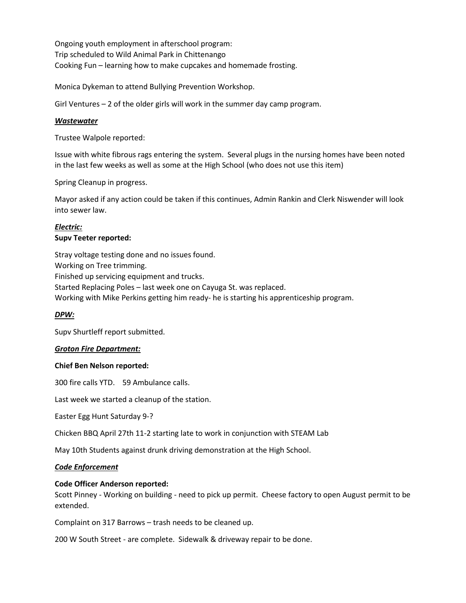Ongoing youth employment in afterschool program: Trip scheduled to Wild Animal Park in Chittenango Cooking Fun – learning how to make cupcakes and homemade frosting.

Monica Dykeman to attend Bullying Prevention Workshop.

Girl Ventures – 2 of the older girls will work in the summer day camp program.

### *Wastewater*

Trustee Walpole reported:

Issue with white fibrous rags entering the system. Several plugs in the nursing homes have been noted in the last few weeks as well as some at the High School (who does not use this item)

Spring Cleanup in progress.

Mayor asked if any action could be taken if this continues, Admin Rankin and Clerk Niswender will look into sewer law.

### *Electric:* **Supv Teeter reported:**

Stray voltage testing done and no issues found. Working on Tree trimming. Finished up servicing equipment and trucks. Started Replacing Poles – last week one on Cayuga St. was replaced. Working with Mike Perkins getting him ready- he is starting his apprenticeship program.

## *DPW:*

Supv Shurtleff report submitted.

### *Groton Fire Department:*

#### **Chief Ben Nelson reported:**

300 fire calls YTD. 59 Ambulance calls.

Last week we started a cleanup of the station.

Easter Egg Hunt Saturday 9-?

Chicken BBQ April 27th 11-2 starting late to work in conjunction with STEAM Lab

May 10th Students against drunk driving demonstration at the High School.

#### *Code Enforcement*

#### **Code Officer Anderson reported:**

Scott Pinney - Working on building - need to pick up permit. Cheese factory to open August permit to be extended.

Complaint on 317 Barrows – trash needs to be cleaned up.

200 W South Street - are complete. Sidewalk & driveway repair to be done.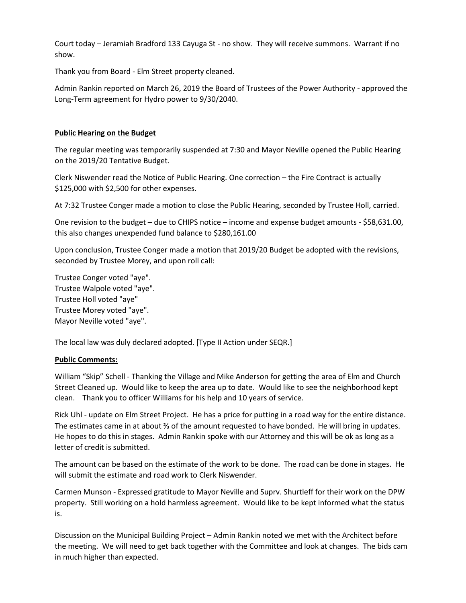Court today – Jeramiah Bradford 133 Cayuga St - no show. They will receive summons. Warrant if no show.

Thank you from Board - Elm Street property cleaned.

Admin Rankin reported on March 26, 2019 the Board of Trustees of the Power Authority - approved the Long-Term agreement for Hydro power to 9/30/2040.

## **Public Hearing on the Budget**

The regular meeting was temporarily suspended at 7:30 and Mayor Neville opened the Public Hearing on the 2019/20 Tentative Budget.

Clerk Niswender read the Notice of Public Hearing. One correction – the Fire Contract is actually \$125,000 with \$2,500 for other expenses.

At 7:32 Trustee Conger made a motion to close the Public Hearing, seconded by Trustee Holl, carried.

One revision to the budget – due to CHIPS notice – income and expense budget amounts - \$58,631.00, this also changes unexpended fund balance to \$280,161.00

Upon conclusion, Trustee Conger made a motion that 2019/20 Budget be adopted with the revisions, seconded by Trustee Morey, and upon roll call:

Trustee Conger voted "aye". Trustee Walpole voted "aye". Trustee Holl voted "aye" Trustee Morey voted "aye". Mayor Neville voted "aye".

The local law was duly declared adopted. [Type II Action under SEQR.]

### **Public Comments:**

William "Skip" Schell - Thanking the Village and Mike Anderson for getting the area of Elm and Church Street Cleaned up. Would like to keep the area up to date. Would like to see the neighborhood kept clean. Thank you to officer Williams for his help and 10 years of service.

Rick Uhl - update on Elm Street Project. He has a price for putting in a road way for the entire distance. The estimates came in at about ⅔ of the amount requested to have bonded. He will bring in updates. He hopes to do this in stages. Admin Rankin spoke with our Attorney and this will be ok as long as a letter of credit is submitted.

The amount can be based on the estimate of the work to be done. The road can be done in stages. He will submit the estimate and road work to Clerk Niswender.

Carmen Munson - Expressed gratitude to Mayor Neville and Suprv. Shurtleff for their work on the DPW property. Still working on a hold harmless agreement. Would like to be kept informed what the status is.

Discussion on the Municipal Building Project – Admin Rankin noted we met with the Architect before the meeting. We will need to get back together with the Committee and look at changes. The bids cam in much higher than expected.